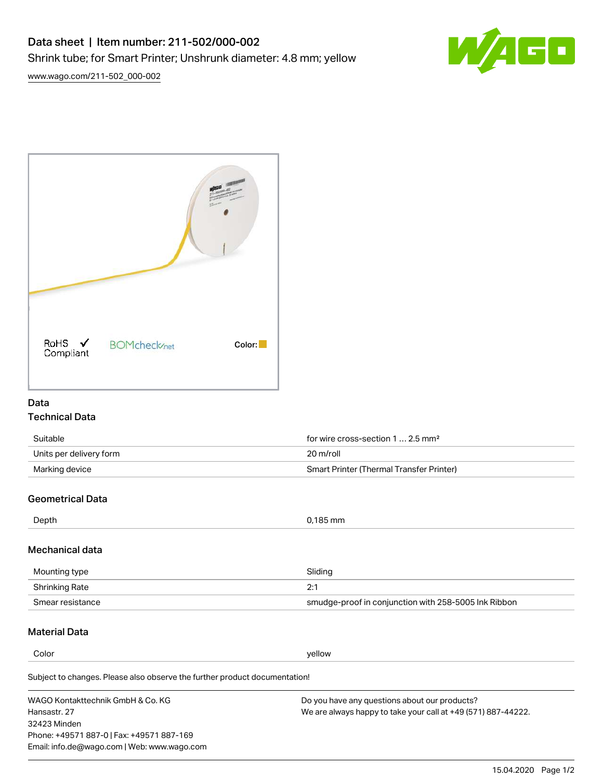

[www.wago.com/211-502\\_000-002](http://www.wago.com/211-502_000-002)



# Data Technical Data

| Suitable                | for wire cross-section 1  2.5 mm <sup>2</sup> |
|-------------------------|-----------------------------------------------|
| Units per delivery form | 20 m/roll                                     |
| Marking device          | Smart Printer (Thermal Transfer Printer)      |

# Geometrical Data

| Depth            | 0,185 mm |
|------------------|----------|
| cteh leginghah M |          |

### Mechanical data

| Mounting type    | Sliding                                              |  |
|------------------|------------------------------------------------------|--|
| Shrinking Rate   | ำ∙                                                   |  |
| Smear resistance | smudge-proof in conjunction with 258-5005 Ink Ribbon |  |

# Material Data

**Color** yellow yellow

Subject to changes. Please also observe the further product documentation!

WAGO Kontakttechnik GmbH & Co. KG Hansastr. 27 32423 Minden Phone: +49571 887-0 | Fax: +49571 887-169 Email: info.de@wago.com | Web: www.wago.com Do you have any questions about our products? We are always happy to take your call at +49 (571) 887-44222.